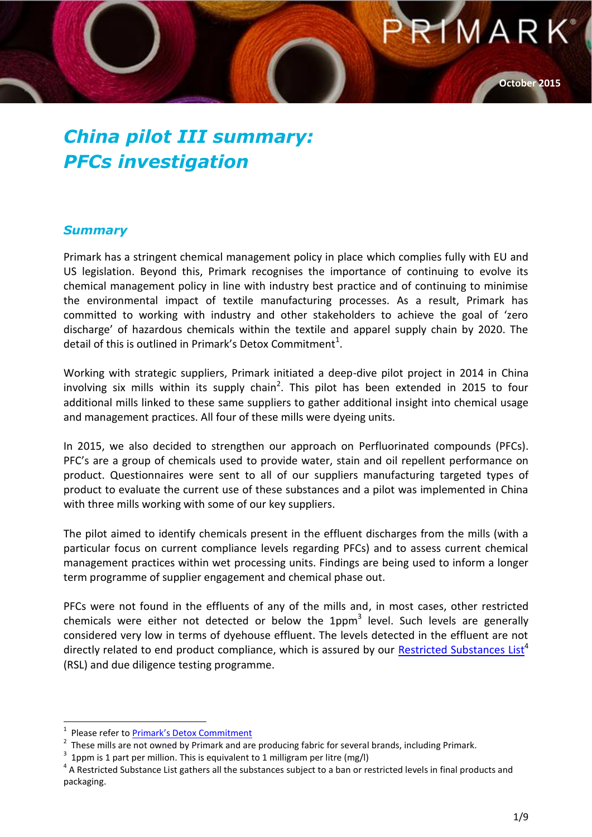**October 2015**

MAR

#### *China pilot III summary: PFCs investigation*

#### *Summary*

Primark has a stringent chemical management policy in place which complies fully with EU and US legislation. Beyond this, Primark recognises the importance of continuing to evolve its chemical management policy in line with industry best practice and of continuing to minimise the environmental impact of textile manufacturing processes. As a result, Primark has committed to working with industry and other stakeholders to achieve the goal of 'zero discharge' of hazardous chemicals within the textile and apparel supply chain by 2020. The detail of this is outlined in Primark's Detox Commitment<sup>1</sup>.

Working with strategic suppliers, Primark initiated a deep-dive pilot project in 2014 in China involving six mills within its supply chain<sup>2</sup>. This pilot has been extended in 2015 to four additional mills linked to these same suppliers to gather additional insight into chemical usage and management practices. All four of these mills were dyeing units.

In 2015, we also decided to strengthen our approach on Perfluorinated compounds (PFCs). PFC's are a group of chemicals used to provide water, stain and oil repellent performance on product. Questionnaires were sent to all of our suppliers manufacturing targeted types of product to evaluate the current use of these substances and a pilot was implemented in China with three mills working with some of our key suppliers.

The pilot aimed to identify chemicals present in the effluent discharges from the mills (with a particular focus on current compliance levels regarding PFCs) and to assess current chemical management practices within wet processing units. Findings are being used to inform a longer term programme of supplier engagement and chemical phase out.

PFCs were not found in the effluents of any of the mills and, in most cases, other restricted chemicals were either not detected or below the 1ppm<sup>3</sup> level. Such levels are generally considered very low in terms of dyehouse effluent. The levels detected in the effluent are not directly related to end product compliance, which is assured by our [Restricted Substances List](http://www.primark.com/~/media/ourethics/detox/pdfs/primark%20restricted%20substances%20list%20rsl.ashx?la=en)<sup>4</sup> (RSL) and due diligence testing programme.

 $\overline{a}$ 

<sup>1</sup> Please refer to [Primark's Detox Commitment](http://www.primark.com/en/our-ethics/environment/~/media/ourethics/detox/pdfs/PRIMARK%20Detox%20Commitment.ashx?la=en)

<sup>2</sup> These mills are not owned by Primark and are producing fabric for several brands, including Primark.

<sup>3</sup> 1ppm is 1 part per million. This is equivalent to 1 milligram per litre (mg/l)

<sup>&</sup>lt;sup>4</sup> A Restricted Substance List gathers all the substances subject to a ban or restricted levels in final products and packaging.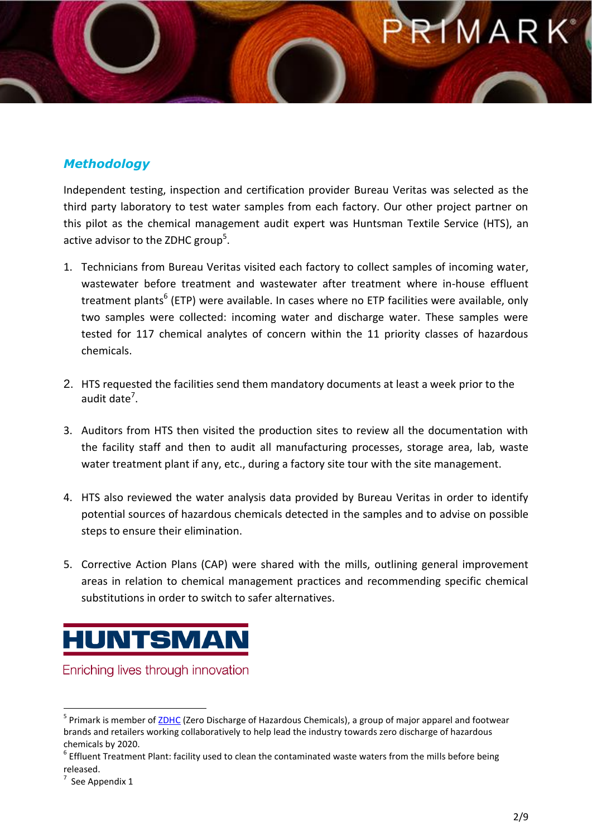### MAR

#### *Methodology*

Independent testing, inspection and certification provider [Bureau Veritas](http://www.bureauveritas.com/wps/wcm/connect/bv_com/group) was selected as the third party laboratory to test water samples from each factory. Our other project partner on this pilot as the chemical management audit expert was Huntsman Textile Service (HTS), an active advisor to the ZDHC group<sup>5</sup>.

- 1. Technicians from Bureau Veritas visited each factory to collect samples of incoming water, wastewater before treatment and wastewater after treatment where in-house effluent treatment plants<sup>6</sup> (ETP) were available. In cases where no ETP facilities were available, only two samples were collected: incoming water and discharge water. These samples were tested for 117 chemical analytes of concern within the 11 priority classes of hazardous chemicals.
- 2. HTS requested the facilities send them mandatory documents at least a week prior to the audit date<sup>7</sup>.
- 3. Auditors from HTS then visited the production sites to review all the documentation with the facility staff and then to audit all manufacturing processes, storage area, lab, waste water treatment plant if any, etc., during a factory site tour with the site management.
- 4. HTS also reviewed the water analysis data provided by Bureau Veritas in order to identify potential sources of hazardous chemicals detected in the samples and to advise on possible steps to ensure their elimination.
- 5. Corrective Action Plans (CAP) were shared with the mills, outlining general improvement areas in relation to chemical management practices and recommending specific chemical substitutions in order to switch to safer alternatives.

### **HUNTSMAN**

Enriching lives through innovation

l <sup>5</sup> Primark is member of <u>ZDHC</u> (Zero Discharge of Hazardous Chemicals), a group of major apparel and footwear brands and retailers working collaboratively to help lead the industry towards zero discharge of hazardous chemicals by 2020.

 $^6$  Effluent Treatment Plant: facility used to clean the contaminated waste waters from the mills before being released.

<sup>7</sup> See Appendix 1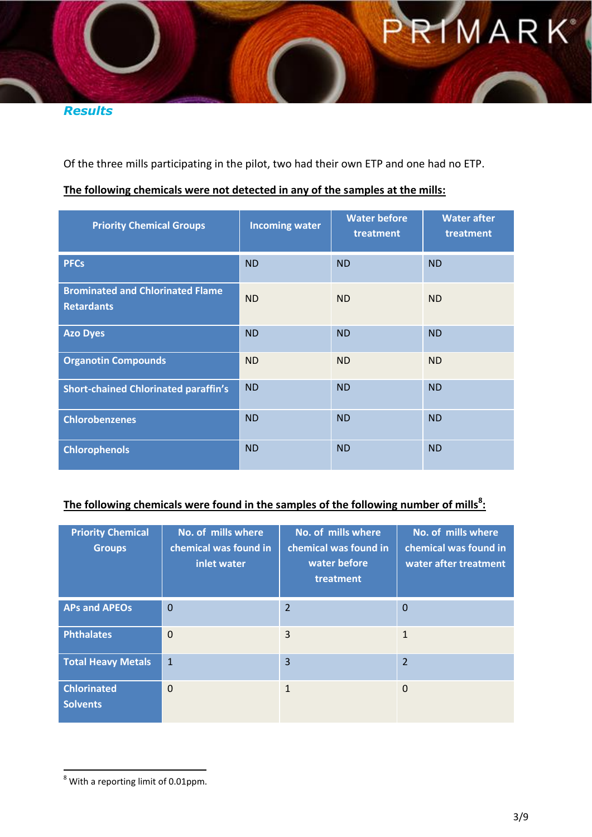RIMARK

*Results*

Of the three mills participating in the pilot, two had their own ETP and one had no ETP.

#### **The following chemicals were not detected in any of the samples at the mills:**

| <b>Priority Chemical Groups</b>                              | <b>Incoming water</b> | <b>Water before</b><br>treatment | <b>Water after</b><br>treatment |
|--------------------------------------------------------------|-----------------------|----------------------------------|---------------------------------|
| <b>PFCs</b>                                                  | <b>ND</b>             | <b>ND</b>                        | <b>ND</b>                       |
| <b>Brominated and Chlorinated Flame</b><br><b>Retardants</b> | <b>ND</b>             | <b>ND</b>                        | <b>ND</b>                       |
| <b>Azo Dyes</b>                                              | <b>ND</b>             | <b>ND</b>                        | <b>ND</b>                       |
| <b>Organotin Compounds</b>                                   | <b>ND</b>             | <b>ND</b>                        | <b>ND</b>                       |
| <b>Short-chained Chlorinated paraffin's</b>                  | <b>ND</b>             | <b>ND</b>                        | <b>ND</b>                       |
| <b>Chlorobenzenes</b>                                        | <b>ND</b>             | <b>ND</b>                        | <b>ND</b>                       |
| <b>Chlorophenols</b>                                         | <b>ND</b>             | <b>ND</b>                        | <b>ND</b>                       |

#### **The following chemicals were found in the samples of the following number of mills<sup>8</sup> :**

| <b>Priority Chemical</b><br><b>Groups</b> | No. of mills where<br>chemical was found in<br>inlet water | No. of mills where<br>chemical was found in<br>water before<br>treatment | No. of mills where<br>chemical was found in<br>water after treatment |
|-------------------------------------------|------------------------------------------------------------|--------------------------------------------------------------------------|----------------------------------------------------------------------|
| <b>APs and APEOs</b>                      | $\mathbf 0$                                                | 2                                                                        | $\overline{0}$                                                       |
| <b>Phthalates</b>                         | $\Omega$                                                   | 3                                                                        | $\mathbf{1}$                                                         |
| <b>Total Heavy Metals</b>                 | $\mathbf{1}$                                               | $\overline{3}$                                                           | $\overline{2}$                                                       |
| <b>Chlorinated</b><br><b>Solvents</b>     | $\Omega$                                                   | $\mathbf{1}$                                                             | $\Omega$                                                             |

 $\overline{a}$ 

 $^8$  With a reporting limit of 0.01ppm.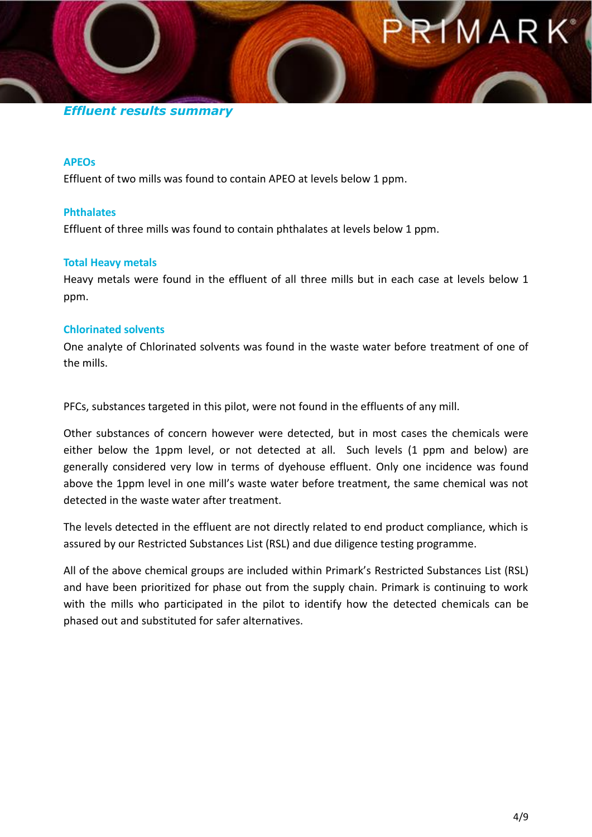#### *Effluent results summary*

#### **APEOs**

Effluent of two mills was found to contain APEO at levels below 1 ppm.

#### **Phthalates**

Effluent of three mills was found to contain phthalates at levels below 1 ppm.

#### **Total Heavy metals**

Heavy metals were found in the effluent of all three mills but in each case at levels below 1 ppm.

#### **Chlorinated solvents**

One analyte of Chlorinated solvents was found in the waste water before treatment of one of the mills.

PFCs, substances targeted in this pilot, were not found in the effluents of any mill.

Other substances of concern however were detected, but in most cases the chemicals were either below the 1ppm level, or not detected at all. Such levels (1 ppm and below) are generally considered very low in terms of dyehouse effluent. Only one incidence was found above the 1ppm level in one mill's waste water before treatment, the same chemical was not detected in the waste water after treatment.

The levels detected in the effluent are not directly related to end product compliance, which is assured by our Restricted Substances List (RSL) and due diligence testing programme.

All of the above chemical groups are included within Primark's Restricted Substances List (RSL) and have been prioritized for phase out from the supply chain. Primark is continuing to work with the mills who participated in the pilot to identify how the detected chemicals can be phased out and substituted for safer alternatives.

MARK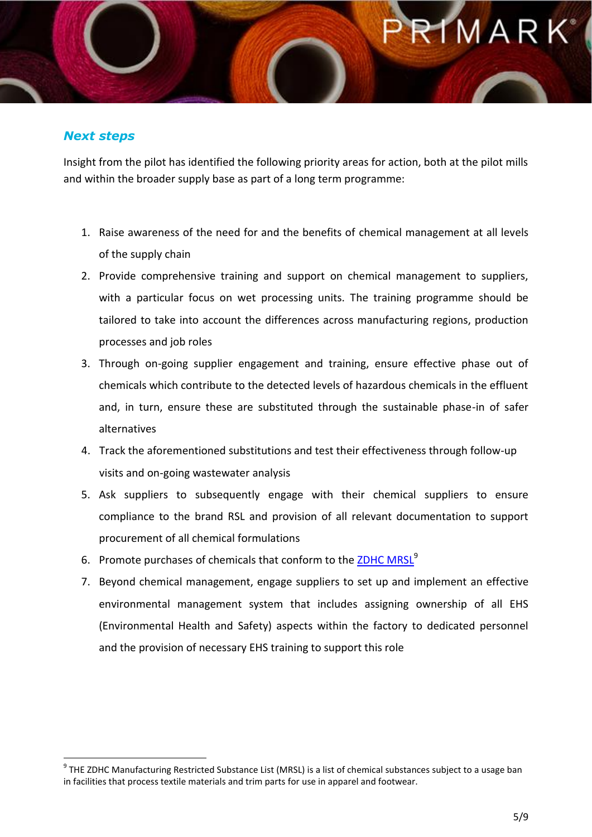## MAR

#### *Next steps*

 $\overline{\phantom{a}}$ 

Insight from the pilot has identified the following priority areas for action, both at the pilot mills and within the broader supply base as part of a long term programme:

- 1. Raise awareness of the need for and the benefits of chemical management at all levels of the supply chain
- 2. Provide comprehensive training and support on chemical management to suppliers, with a particular focus on wet processing units. The training programme should be tailored to take into account the differences across manufacturing regions, production processes and job roles
- 3. Through on-going supplier engagement and training, ensure effective phase out of chemicals which contribute to the detected levels of hazardous chemicals in the effluent and, in turn, ensure these are substituted through the sustainable phase-in of safer alternatives
- 4. Track the aforementioned substitutions and test their effectiveness through follow-up visits and on-going wastewater analysis
- 5. Ask suppliers to subsequently engage with their chemical suppliers to ensure compliance to the brand RSL and provision of all relevant documentation to support procurement of all chemical formulations
- 6. Promote purchases of chemicals that conform to the [ZDHC MRSL](http://www.primark.com/en/our-ethics/environment/~/media/ourethics/detox/pdfs/mrsl.ashx)<sup>9</sup>
- 7. Beyond chemical management, engage suppliers to set up and implement an effective environmental management system that includes assigning ownership of all EHS (Environmental Health and Safety) aspects within the factory to dedicated personnel and the provision of necessary EHS training to support this role

<sup>&</sup>lt;sup>9</sup> THE ZDHC Manufacturing Restricted Substance List (MRSL) is a list of chemical substances subject to a usage ban in facilities that process textile materials and trim parts for use in apparel and footwear.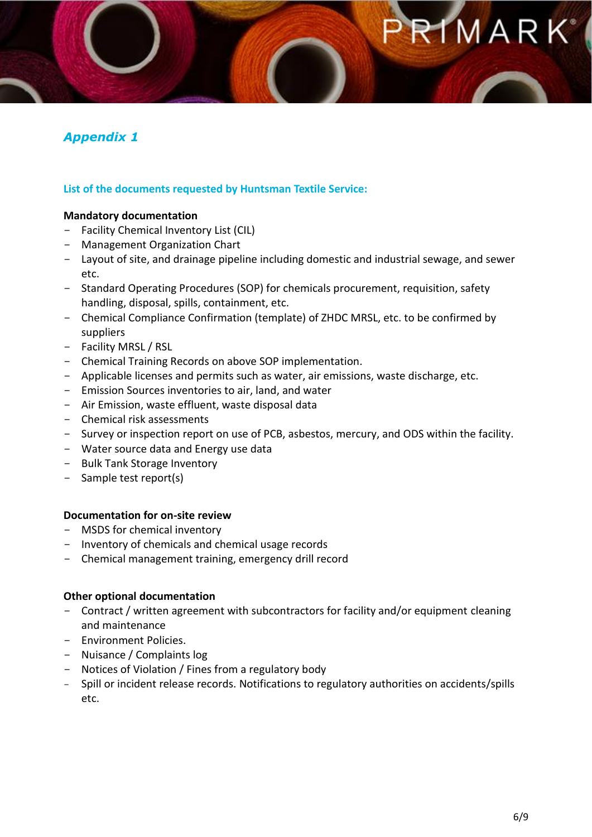#### *Appendix 1*

#### **List of the documents requested by Huntsman Textile Service:**

#### **Mandatory documentation**

- Facility Chemical Inventory List (CIL)
- Management Organization Chart
- Layout of site, and drainage pipeline including domestic and industrial sewage, and sewer etc.
- Standard Operating Procedures (SOP) for chemicals procurement, requisition, safety handling, disposal, spills, containment, etc.
- Chemical Compliance Confirmation (template) of ZHDC MRSL, etc. to be confirmed by suppliers
- Facility MRSL / RSL
- Chemical Training Records on above SOP implementation.
- Applicable licenses and permits such as water, air emissions, waste discharge, etc.
- Emission Sources inventories to air, land, and water
- Air Emission, waste effluent, waste disposal data
- Chemical risk assessments
- Survey or inspection report on use of PCB, asbestos, mercury, and ODS within the facility.
- Water source data and Energy use data
- Bulk Tank Storage Inventory
- Sample test report(s)

#### **Documentation for on-site review**

- MSDS for chemical inventory
- Inventory of chemicals and chemical usage records
- Chemical management training, emergency drill record

#### **Other optional documentation**

- Contract / written agreement with subcontractors for facility and/or equipment cleaning and maintenance
- Environment Policies.
- Nuisance / Complaints log
- Notices of Violation / Fines from a regulatory body
- Spill or incident release records. Notifications to regulatory authorities on accidents/spills etc.

MARK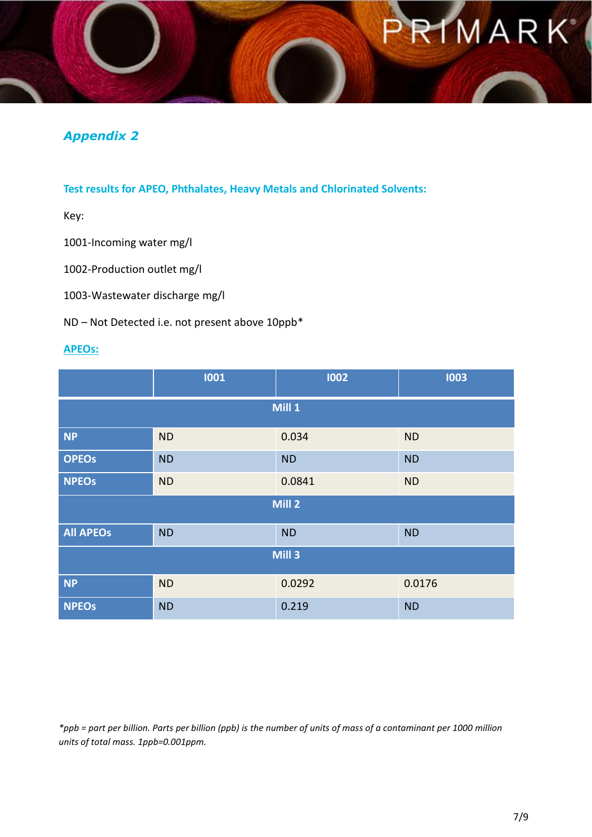# **IMARK**

#### *Appendix 2*

#### **Test results for APEO, Phthalates, Heavy Metals and Chlorinated Solvents:**

Key:

1001-Incoming water mg/l

1002-Production outlet mg/l

1003-Wastewater discharge mg/l

ND – Not Detected i.e. not present above 10ppb\*

#### **APEOs:**

|                   | 1001      | 1002      | 1003      |
|-------------------|-----------|-----------|-----------|
| Mill 1            |           |           |           |
| <b>NP</b>         | <b>ND</b> | 0.034     | <b>ND</b> |
| <b>OPEOS</b>      | <b>ND</b> | <b>ND</b> | <b>ND</b> |
| <b>NPEOS</b>      | <b>ND</b> | 0.0841    | <b>ND</b> |
| Mill 2            |           |           |           |
| <b>All APEOS</b>  | <b>ND</b> | <b>ND</b> | <b>ND</b> |
| Mill <sub>3</sub> |           |           |           |
| <b>NP</b>         | <b>ND</b> | 0.0292    | 0.0176    |
| <b>NPEOS</b>      | <b>ND</b> | 0.219     | <b>ND</b> |

*\*ppb = part per billion. Parts per billion (ppb) is the number of units of mass of a contaminant per 1000 million units of total mass. 1ppb=0.001ppm.*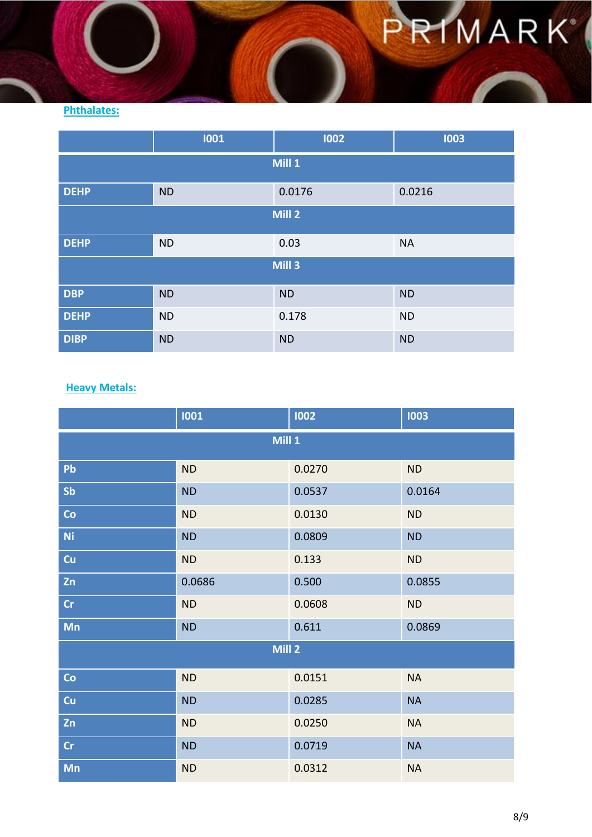## PRIMARK

#### **Phthalates:**

|                   | 1001      | 1002      | 1003      |  |
|-------------------|-----------|-----------|-----------|--|
| Mill 1            |           |           |           |  |
| <b>DEHP</b>       | <b>ND</b> | 0.0176    | 0.0216    |  |
| Mill 2            |           |           |           |  |
| <b>DEHP</b>       | <b>ND</b> | 0.03      | <b>NA</b> |  |
| Mill <sub>3</sub> |           |           |           |  |
| <b>DBP</b>        | <b>ND</b> | <b>ND</b> | <b>ND</b> |  |
| <b>DEHP</b>       | <b>ND</b> | 0.178     | <b>ND</b> |  |
| <b>DIBP</b>       | <b>ND</b> | <b>ND</b> | <b>ND</b> |  |

#### **Heavy Metals:**

|                   | 1001      | 1002   | 1003      |  |
|-------------------|-----------|--------|-----------|--|
|                   | Mill 1    |        |           |  |
| Pb                | <b>ND</b> | 0.0270 | <b>ND</b> |  |
| Sb                | <b>ND</b> | 0.0537 | 0.0164    |  |
| Co                | <b>ND</b> | 0.0130 | <b>ND</b> |  |
| <b>Ni</b>         | <b>ND</b> | 0.0809 | <b>ND</b> |  |
| Cu                | <b>ND</b> | 0.133  | <b>ND</b> |  |
| Zn                | 0.0686    | 0.500  | 0.0855    |  |
| Cr                | <b>ND</b> | 0.0608 | <b>ND</b> |  |
| Mn                | <b>ND</b> | 0.611  | 0.0869    |  |
| Mill <sub>2</sub> |           |        |           |  |
| Co                | <b>ND</b> | 0.0151 | <b>NA</b> |  |
| Cu                | <b>ND</b> | 0.0285 | <b>NA</b> |  |
| Zn                | <b>ND</b> | 0.0250 | <b>NA</b> |  |
| Cr                | <b>ND</b> | 0.0719 | <b>NA</b> |  |
| Mn                | <b>ND</b> | 0.0312 | <b>NA</b> |  |